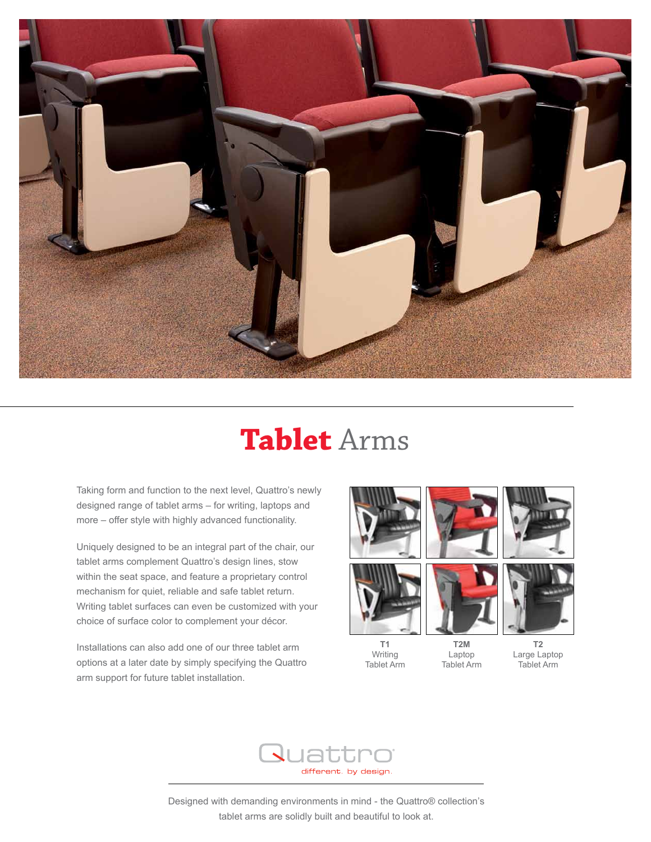

## **Tablet** Arms

Taking form and function to the next level, Quattro's newly designed range of tablet arms – for writing, laptops and more – offer style with highly advanced functionality.

Uniquely designed to be an integral part of the chair, our tablet arms complement Quattro's design lines, stow within the seat space, and feature a proprietary control mechanism for quiet, reliable and safe tablet return. Writing tablet surfaces can even be customized with your choice of surface color to complement your décor.

Installations can also add one of our three tablet arm options at a later date by simply specifying the Quattro arm support for future tablet installation.





Writing Tablet Arm



**T2M** 







Laptop Tablet Arm Large Laptop Tablet Arm



Designed with demanding environments in mind - the Quattro® collection's tablet arms are solidly built and beautiful to look at.